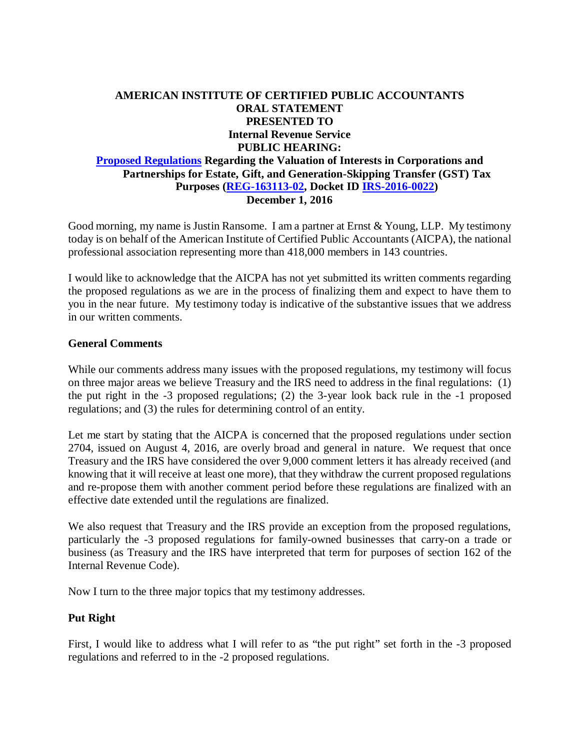## **AMERICAN INSTITUTE OF CERTIFIED PUBLIC ACCOUNTANTS ORAL STATEMENT PRESENTED TO Internal Revenue Service PUBLIC HEARING: Proposed Regulations Regarding the Valuation of Interests in Corporations and Partnerships for Estate, Gift, and Generation-Skipping Transfer (GST) Tax Purposes (REG-163113-02, Docket ID IRS-2016-0022) December 1, 2016**

Good morning, my name is Justin Ransome. I am a partner at Ernst & Young, LLP. My testimony today is on behalf of the American Institute of Certified Public Accountants (AICPA), the national professional association representing more than 418,000 members in 143 countries.

I would like to acknowledge that the AICPA has not yet submitted its written comments regarding the proposed regulations as we are in the process of finalizing them and expect to have them to you in the near future. My testimony today is indicative of the substantive issues that we address in our written comments.

## **General Comments**

While our comments address many issues with the proposed regulations, my testimony will focus on three major areas we believe Treasury and the IRS need to address in the final regulations: (1) the put right in the -3 proposed regulations; (2) the 3-year look back rule in the -1 proposed regulations; and (3) the rules for determining control of an entity.

Let me start by stating that the AICPA is concerned that the proposed regulations under section 2704, issued on August 4, 2016, are overly broad and general in nature. We request that once Treasury and the IRS have considered the over 9,000 comment letters it has already received (and knowing that it will receive at least one more), that they withdraw the current proposed regulations and re-propose them with another comment period before these regulations are finalized with an effective date extended until the regulations are finalized.

We also request that Treasury and the IRS provide an exception from the proposed regulations, particularly the -3 proposed regulations for family-owned businesses that carry-on a trade or business (as Treasury and the IRS have interpreted that term for purposes of section 162 of the Internal Revenue Code).

Now I turn to the three major topics that my testimony addresses.

### **Put Right**

First, I would like to address what I will refer to as "the put right" set forth in the -3 proposed regulations and referred to in the -2 proposed regulations.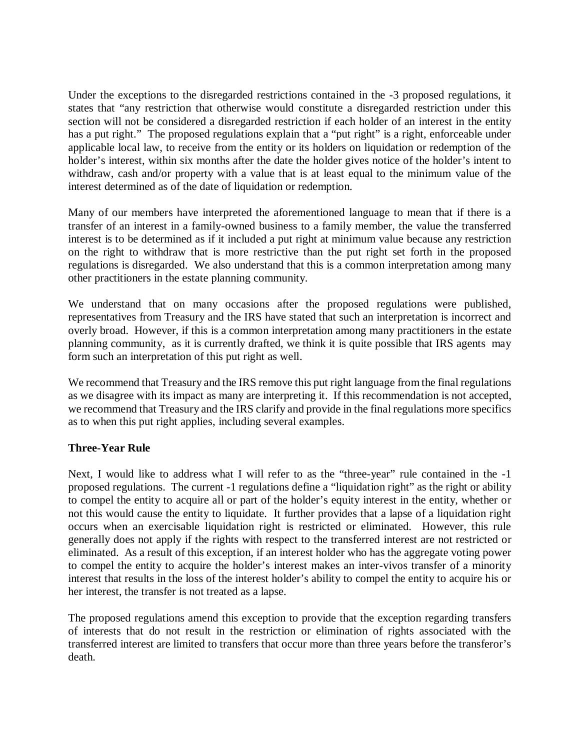Under the exceptions to the disregarded restrictions contained in the -3 proposed regulations, it states that "any restriction that otherwise would constitute a disregarded restriction under this section will not be considered a disregarded restriction if each holder of an interest in the entity has a put right." The proposed regulations explain that a "put right" is a right, enforceable under applicable local law, to receive from the entity or its holders on liquidation or redemption of the holder's interest, within six months after the date the holder gives notice of the holder's intent to withdraw, cash and/or property with a value that is at least equal to the minimum value of the interest determined as of the date of liquidation or redemption.

Many of our members have interpreted the aforementioned language to mean that if there is a transfer of an interest in a family-owned business to a family member, the value the transferred interest is to be determined as if it included a put right at minimum value because any restriction on the right to withdraw that is more restrictive than the put right set forth in the proposed regulations is disregarded. We also understand that this is a common interpretation among many other practitioners in the estate planning community.

We understand that on many occasions after the proposed regulations were published, representatives from Treasury and the IRS have stated that such an interpretation is incorrect and overly broad. However, if this is a common interpretation among many practitioners in the estate planning community, as it is currently drafted, we think it is quite possible that IRS agents may form such an interpretation of this put right as well.

We recommend that Treasury and the IRS remove this put right language from the final regulations as we disagree with its impact as many are interpreting it. If this recommendation is not accepted, we recommend that Treasury and the IRS clarify and provide in the final regulations more specifics as to when this put right applies, including several examples.

# **Three-Year Rule**

Next, I would like to address what I will refer to as the "three-year" rule contained in the -1 proposed regulations. The current -1 regulations define a "liquidation right" as the right or ability to compel the entity to acquire all or part of the holder's equity interest in the entity, whether or not this would cause the entity to liquidate. It further provides that a lapse of a liquidation right occurs when an exercisable liquidation right is restricted or eliminated. However, this rule generally does not apply if the rights with respect to the transferred interest are not restricted or eliminated. As a result of this exception, if an interest holder who has the aggregate voting power to compel the entity to acquire the holder's interest makes an inter-vivos transfer of a minority interest that results in the loss of the interest holder's ability to compel the entity to acquire his or her interest, the transfer is not treated as a lapse.

The proposed regulations amend this exception to provide that the exception regarding transfers of interests that do not result in the restriction or elimination of rights associated with the transferred interest are limited to transfers that occur more than three years before the transferor's death.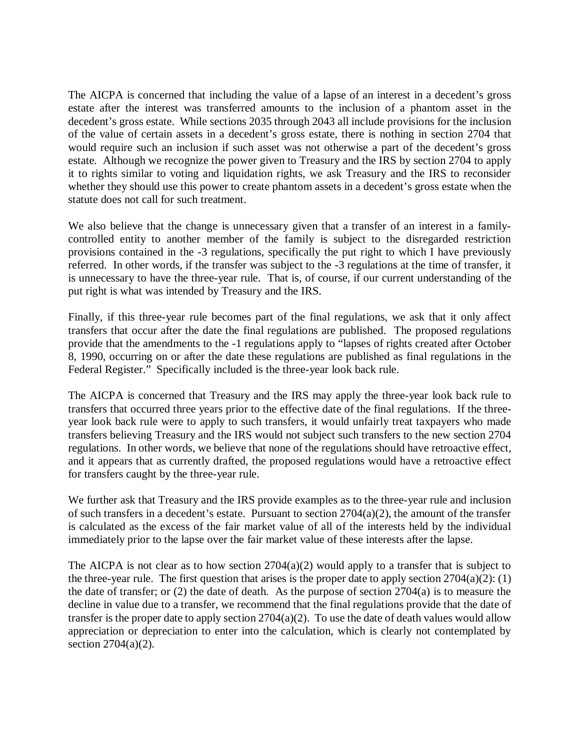The AICPA is concerned that including the value of a lapse of an interest in a decedent's gross estate after the interest was transferred amounts to the inclusion of a phantom asset in the decedent's gross estate. While sections 2035 through 2043 all include provisions for the inclusion of the value of certain assets in a decedent's gross estate, there is nothing in section 2704 that would require such an inclusion if such asset was not otherwise a part of the decedent's gross estate. Although we recognize the power given to Treasury and the IRS by section 2704 to apply it to rights similar to voting and liquidation rights, we ask Treasury and the IRS to reconsider whether they should use this power to create phantom assets in a decedent's gross estate when the statute does not call for such treatment.

We also believe that the change is unnecessary given that a transfer of an interest in a familycontrolled entity to another member of the family is subject to the disregarded restriction provisions contained in the -3 regulations, specifically the put right to which I have previously referred. In other words, if the transfer was subject to the -3 regulations at the time of transfer, it is unnecessary to have the three-year rule. That is, of course, if our current understanding of the put right is what was intended by Treasury and the IRS.

Finally, if this three-year rule becomes part of the final regulations, we ask that it only affect transfers that occur after the date the final regulations are published. The proposed regulations provide that the amendments to the -1 regulations apply to "lapses of rights created after October 8, 1990, occurring on or after the date these regulations are published as final regulations in the Federal Register." Specifically included is the three-year look back rule.

The AICPA is concerned that Treasury and the IRS may apply the three-year look back rule to transfers that occurred three years prior to the effective date of the final regulations. If the threeyear look back rule were to apply to such transfers, it would unfairly treat taxpayers who made transfers believing Treasury and the IRS would not subject such transfers to the new section 2704 regulations. In other words, we believe that none of the regulations should have retroactive effect, and it appears that as currently drafted, the proposed regulations would have a retroactive effect for transfers caught by the three-year rule.

We further ask that Treasury and the IRS provide examples as to the three-year rule and inclusion of such transfers in a decedent's estate. Pursuant to section  $2704(a)(2)$ , the amount of the transfer is calculated as the excess of the fair market value of all of the interests held by the individual immediately prior to the lapse over the fair market value of these interests after the lapse.

The AICPA is not clear as to how section  $2704(a)(2)$  would apply to a transfer that is subject to the three-year rule. The first question that arises is the proper date to apply section  $2704(a)(2)$ : (1) the date of transfer; or (2) the date of death. As the purpose of section 2704(a) is to measure the decline in value due to a transfer, we recommend that the final regulations provide that the date of transfer is the proper date to apply section 2704(a)(2). To use the date of death values would allow appreciation or depreciation to enter into the calculation, which is clearly not contemplated by section 2704(a)(2).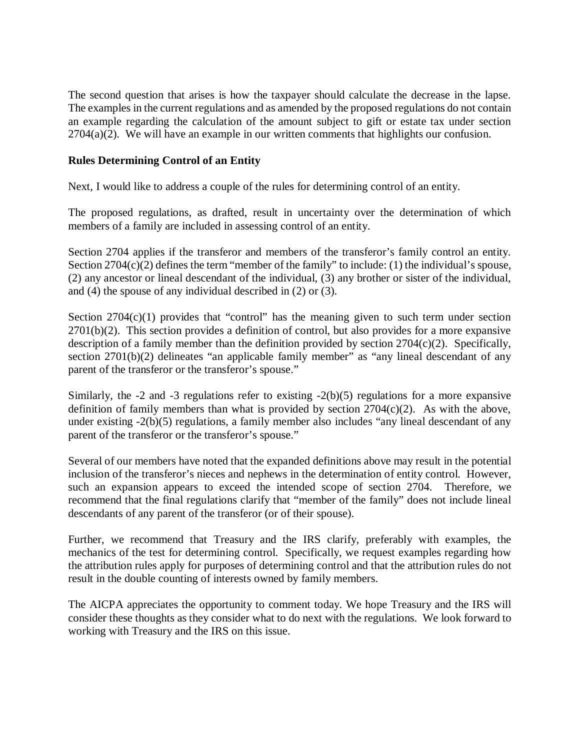The second question that arises is how the taxpayer should calculate the decrease in the lapse. The examples in the current regulations and as amended by the proposed regulations do not contain an example regarding the calculation of the amount subject to gift or estate tax under section 2704(a)(2). We will have an example in our written comments that highlights our confusion.

### **Rules Determining Control of an Entity**

Next, I would like to address a couple of the rules for determining control of an entity.

The proposed regulations, as drafted, result in uncertainty over the determination of which members of a family are included in assessing control of an entity.

Section 2704 applies if the transferor and members of the transferor's family control an entity. Section  $2704(c)(2)$  defines the term "member of the family" to include: (1) the individual's spouse, (2) any ancestor or lineal descendant of the individual, (3) any brother or sister of the individual, and (4) the spouse of any individual described in (2) or (3).

Section  $2704(c)(1)$  provides that "control" has the meaning given to such term under section 2701(b)(2). This section provides a definition of control, but also provides for a more expansive description of a family member than the definition provided by section 2704(c)(2). Specifically, section 2701(b)(2) delineates "an applicable family member" as "any lineal descendant of any parent of the transferor or the transferor's spouse."

Similarly, the -2 and -3 regulations refer to existing -2(b)(5) regulations for a more expansive definition of family members than what is provided by section  $2704(c)(2)$ . As with the above, under existing -2(b)(5) regulations, a family member also includes "any lineal descendant of any parent of the transferor or the transferor's spouse."

Several of our members have noted that the expanded definitions above may result in the potential inclusion of the transferor's nieces and nephews in the determination of entity control. However, such an expansion appears to exceed the intended scope of section 2704. Therefore, we recommend that the final regulations clarify that "member of the family" does not include lineal descendants of any parent of the transferor (or of their spouse).

Further, we recommend that Treasury and the IRS clarify, preferably with examples, the mechanics of the test for determining control. Specifically, we request examples regarding how the attribution rules apply for purposes of determining control and that the attribution rules do not result in the double counting of interests owned by family members.

The AICPA appreciates the opportunity to comment today. We hope Treasury and the IRS will consider these thoughts as they consider what to do next with the regulations. We look forward to working with Treasury and the IRS on this issue.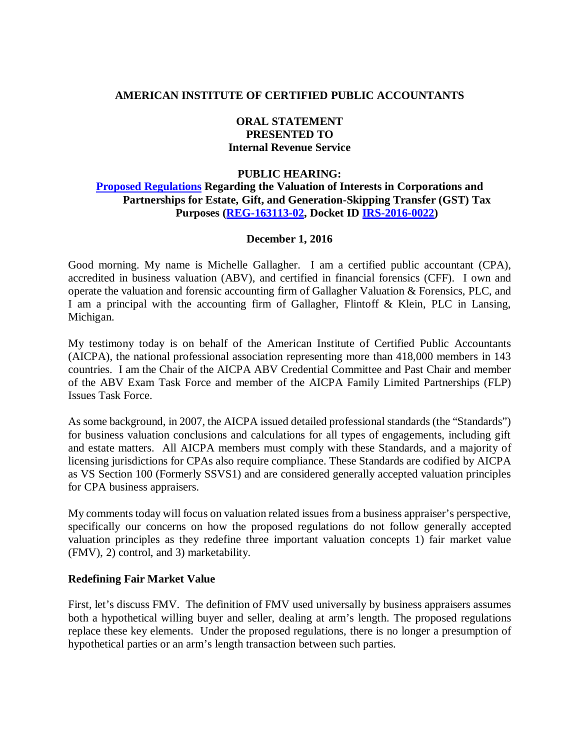### **AMERICAN INSTITUTE OF CERTIFIED PUBLIC ACCOUNTANTS**

# **ORAL STATEMENT PRESENTED TO Internal Revenue Service**

### **PUBLIC HEARING:**

## **Proposed Regulations Regarding the Valuation of Interests in Corporations and Partnerships for Estate, Gift, and Generation-Skipping Transfer (GST) Tax Purposes (REG-163113-02, Docket ID IRS-2016-0022)**

### **December 1, 2016**

Good morning. My name is Michelle Gallagher. I am a certified public accountant (CPA), accredited in business valuation (ABV), and certified in financial forensics (CFF). I own and operate the valuation and forensic accounting firm of Gallagher Valuation & Forensics, PLC, and I am a principal with the accounting firm of Gallagher, Flintoff & Klein, PLC in Lansing, Michigan.

My testimony today is on behalf of the American Institute of Certified Public Accountants (AICPA), the national professional association representing more than 418,000 members in 143 countries. I am the Chair of the AICPA ABV Credential Committee and Past Chair and member of the ABV Exam Task Force and member of the AICPA Family Limited Partnerships (FLP) Issues Task Force.

As some background, in 2007, the AICPA issued detailed professional standards (the "Standards") for business valuation conclusions and calculations for all types of engagements, including gift and estate matters. All AICPA members must comply with these Standards, and a majority of licensing jurisdictions for CPAs also require compliance. These Standards are codified by AICPA as VS Section 100 (Formerly SSVS1) and are considered generally accepted valuation principles for CPA business appraisers.

My comments today will focus on valuation related issues from a business appraiser's perspective, specifically our concerns on how the proposed regulations do not follow generally accepted valuation principles as they redefine three important valuation concepts 1) fair market value (FMV), 2) control, and 3) marketability.

#### **Redefining Fair Market Value**

First, let's discuss FMV. The definition of FMV used universally by business appraisers assumes both a hypothetical willing buyer and seller, dealing at arm's length. The proposed regulations replace these key elements. Under the proposed regulations, there is no longer a presumption of hypothetical parties or an arm's length transaction between such parties.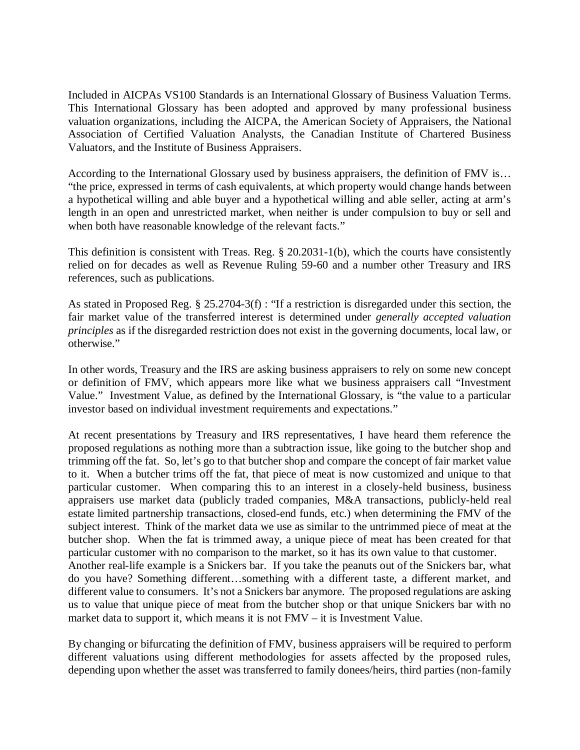Included in AICPAs VS100 Standards is an International Glossary of Business Valuation Terms. This International Glossary has been adopted and approved by many professional business valuation organizations, including the AICPA, the American Society of Appraisers, the National Association of Certified Valuation Analysts, the Canadian Institute of Chartered Business Valuators, and the Institute of Business Appraisers.

According to the International Glossary used by business appraisers, the definition of FMV is… "the price, expressed in terms of cash equivalents, at which property would change hands between a hypothetical willing and able buyer and a hypothetical willing and able seller, acting at arm's length in an open and unrestricted market, when neither is under compulsion to buy or sell and when both have reasonable knowledge of the relevant facts."

This definition is consistent with Treas. Reg. § 20.2031-1(b), which the courts have consistently relied on for decades as well as Revenue Ruling 59-60 and a number other Treasury and IRS references, such as publications.

As stated in Proposed Reg. § 25.2704-3(f) : "If a restriction is disregarded under this section, the fair market value of the transferred interest is determined under *generally accepted valuation principles* as if the disregarded restriction does not exist in the governing documents, local law, or otherwise."

In other words, Treasury and the IRS are asking business appraisers to rely on some new concept or definition of FMV, which appears more like what we business appraisers call "Investment Value." Investment Value, as defined by the International Glossary, is "the value to a particular investor based on individual investment requirements and expectations."

At recent presentations by Treasury and IRS representatives, I have heard them reference the proposed regulations as nothing more than a subtraction issue, like going to the butcher shop and trimming off the fat. So, let's go to that butcher shop and compare the concept of fair market value to it. When a butcher trims off the fat, that piece of meat is now customized and unique to that particular customer. When comparing this to an interest in a closely-held business, business appraisers use market data (publicly traded companies, M&A transactions, publicly-held real estate limited partnership transactions, closed-end funds, etc.) when determining the FMV of the subject interest. Think of the market data we use as similar to the untrimmed piece of meat at the butcher shop. When the fat is trimmed away, a unique piece of meat has been created for that particular customer with no comparison to the market, so it has its own value to that customer. Another real-life example is a Snickers bar. If you take the peanuts out of the Snickers bar, what do you have? Something different…something with a different taste, a different market, and different value to consumers. It's not a Snickers bar anymore. The proposed regulations are asking us to value that unique piece of meat from the butcher shop or that unique Snickers bar with no market data to support it, which means it is not FMV – it is Investment Value.

By changing or bifurcating the definition of FMV, business appraisers will be required to perform different valuations using different methodologies for assets affected by the proposed rules, depending upon whether the asset was transferred to family donees/heirs, third parties (non-family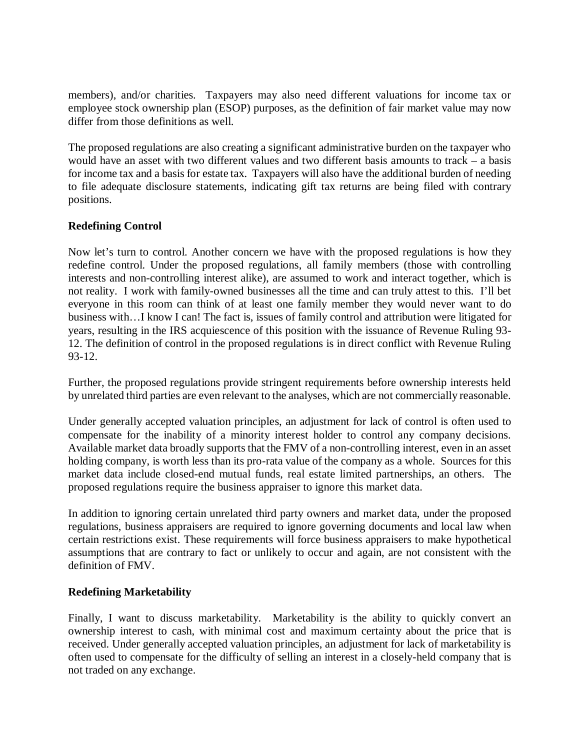members), and/or charities. Taxpayers may also need different valuations for income tax or employee stock ownership plan (ESOP) purposes, as the definition of fair market value may now differ from those definitions as well.

The proposed regulations are also creating a significant administrative burden on the taxpayer who would have an asset with two different values and two different basis amounts to track – a basis for income tax and a basis for estate tax. Taxpayers will also have the additional burden of needing to file adequate disclosure statements, indicating gift tax returns are being filed with contrary positions.

# **Redefining Control**

Now let's turn to control. Another concern we have with the proposed regulations is how they redefine control. Under the proposed regulations, all family members (those with controlling interests and non-controlling interest alike), are assumed to work and interact together, which is not reality. I work with family-owned businesses all the time and can truly attest to this. I'll bet everyone in this room can think of at least one family member they would never want to do business with…I know I can! The fact is, issues of family control and attribution were litigated for years, resulting in the IRS acquiescence of this position with the issuance of Revenue Ruling 93- 12. The definition of control in the proposed regulations is in direct conflict with Revenue Ruling 93-12.

Further, the proposed regulations provide stringent requirements before ownership interests held by unrelated third parties are even relevant to the analyses, which are not commercially reasonable.

Under generally accepted valuation principles, an adjustment for lack of control is often used to compensate for the inability of a minority interest holder to control any company decisions. Available market data broadly supports that the FMV of a non-controlling interest, even in an asset holding company, is worth less than its pro-rata value of the company as a whole. Sources for this market data include closed-end mutual funds, real estate limited partnerships, an others. The proposed regulations require the business appraiser to ignore this market data.

In addition to ignoring certain unrelated third party owners and market data, under the proposed regulations, business appraisers are required to ignore governing documents and local law when certain restrictions exist. These requirements will force business appraisers to make hypothetical assumptions that are contrary to fact or unlikely to occur and again, are not consistent with the definition of FMV.

# **Redefining Marketability**

Finally, I want to discuss marketability. Marketability is the ability to quickly convert an ownership interest to cash, with minimal cost and maximum certainty about the price that is received. Under generally accepted valuation principles, an adjustment for lack of marketability is often used to compensate for the difficulty of selling an interest in a closely-held company that is not traded on any exchange.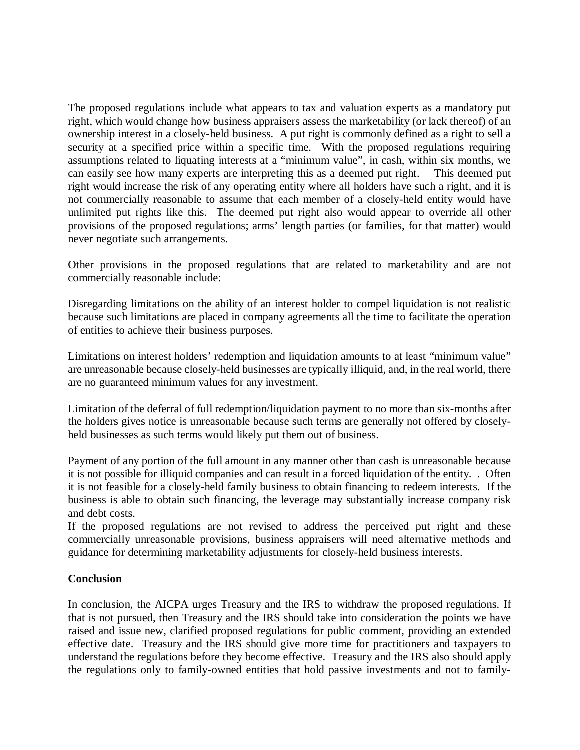The proposed regulations include what appears to tax and valuation experts as a mandatory put right, which would change how business appraisers assess the marketability (or lack thereof) of an ownership interest in a closely-held business. A put right is commonly defined as a right to sell a security at a specified price within a specific time. With the proposed regulations requiring assumptions related to liquating interests at a "minimum value", in cash, within six months, we can easily see how many experts are interpreting this as a deemed put right. This deemed put right would increase the risk of any operating entity where all holders have such a right, and it is not commercially reasonable to assume that each member of a closely-held entity would have unlimited put rights like this. The deemed put right also would appear to override all other provisions of the proposed regulations; arms' length parties (or families, for that matter) would never negotiate such arrangements.

Other provisions in the proposed regulations that are related to marketability and are not commercially reasonable include:

Disregarding limitations on the ability of an interest holder to compel liquidation is not realistic because such limitations are placed in company agreements all the time to facilitate the operation of entities to achieve their business purposes.

Limitations on interest holders' redemption and liquidation amounts to at least "minimum value" are unreasonable because closely-held businesses are typically illiquid, and, in the real world, there are no guaranteed minimum values for any investment.

Limitation of the deferral of full redemption/liquidation payment to no more than six-months after the holders gives notice is unreasonable because such terms are generally not offered by closelyheld businesses as such terms would likely put them out of business.

Payment of any portion of the full amount in any manner other than cash is unreasonable because it is not possible for illiquid companies and can result in a forced liquidation of the entity. . Often it is not feasible for a closely-held family business to obtain financing to redeem interests. If the business is able to obtain such financing, the leverage may substantially increase company risk and debt costs.

If the proposed regulations are not revised to address the perceived put right and these commercially unreasonable provisions, business appraisers will need alternative methods and guidance for determining marketability adjustments for closely-held business interests.

# **Conclusion**

In conclusion, the AICPA urges Treasury and the IRS to withdraw the proposed regulations. If that is not pursued, then Treasury and the IRS should take into consideration the points we have raised and issue new, clarified proposed regulations for public comment, providing an extended effective date. Treasury and the IRS should give more time for practitioners and taxpayers to understand the regulations before they become effective. Treasury and the IRS also should apply the regulations only to family-owned entities that hold passive investments and not to family